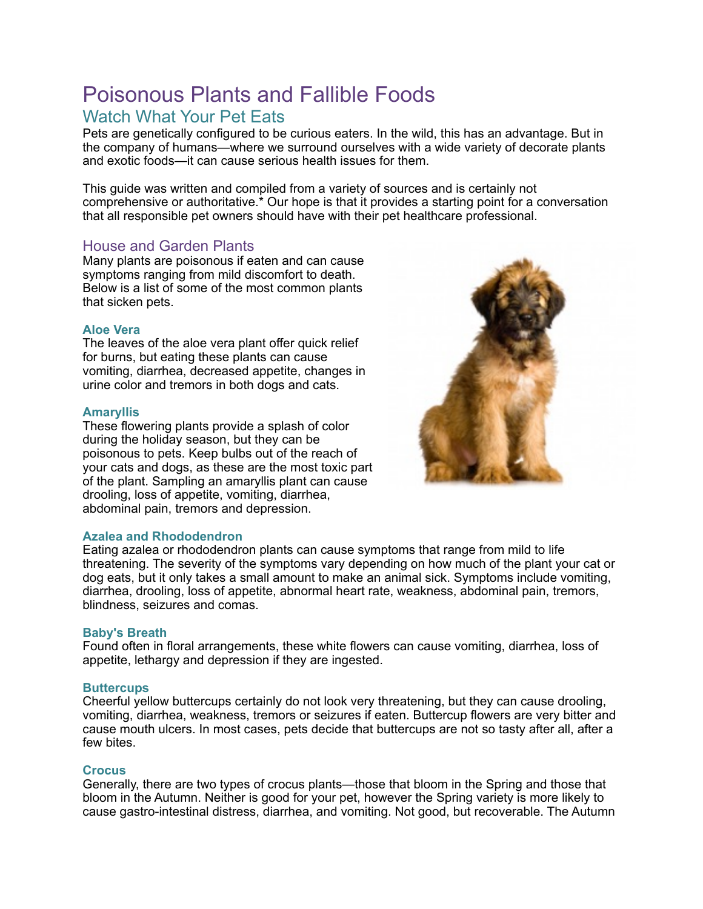# Poisonous Plants and Fallible Foods

## Watch What Your Pet Eats

Pets are genetically configured to be curious eaters. In the wild, this has an advantage. But in the company of humans—where we surround ourselves with a wide variety of decorate plants and exotic foods—it can cause serious health issues for them.

This guide was written and compiled from a variety of sources and is certainly not comprehensive or authoritative.\* Our hope is that it provides a starting point for a conversation that all responsible pet owners should have with their pet healthcare professional.

### House and Garden Plants

Many plants are poisonous if eaten and can cause symptoms ranging from mild discomfort to death. Below is a list of some of the most common plants that sicken pets.

#### **Aloe Vera**

The leaves of the aloe vera plant offer quick relief for burns, but eating these plants can cause vomiting, diarrhea, decreased appetite, changes in urine color and tremors in both dogs and cats.

#### **Amaryllis**

These flowering plants provide a splash of color during the holiday season, but they can be poisonous to pets. Keep bulbs out of the reach of your cats and dogs, as these are the most toxic part of the plant. Sampling an amaryllis plant can cause drooling, loss of appetite, vomiting, diarrhea, abdominal pain, tremors and depression.

#### **Azalea and Rhododendron**

Eating azalea or rhododendron plants can cause symptoms that range from mild to life threatening. The severity of the symptoms vary depending on how much of the plant your cat or dog eats, but it only takes a small amount to make an animal sick. Symptoms include vomiting, diarrhea, drooling, loss of appetite, abnormal heart rate, weakness, abdominal pain, tremors, blindness, seizures and comas.

#### **Baby's Breath**

Found often in floral arrangements, these white flowers can cause vomiting, diarrhea, loss of appetite, lethargy and depression if they are ingested.

#### **Buttercups**

Cheerful yellow buttercups certainly do not look very threatening, but they can cause drooling, vomiting, diarrhea, weakness, tremors or seizures if eaten. Buttercup flowers are very bitter and cause mouth ulcers. In most cases, pets decide that buttercups are not so tasty after all, after a few bites.

#### **Crocus**

Generally, there are two types of crocus plants—those that bloom in the Spring and those that bloom in the Autumn. Neither is good for your pet, however the Spring variety is more likely to cause gastro-intestinal distress, diarrhea, and vomiting. Not good, but recoverable. The Autumn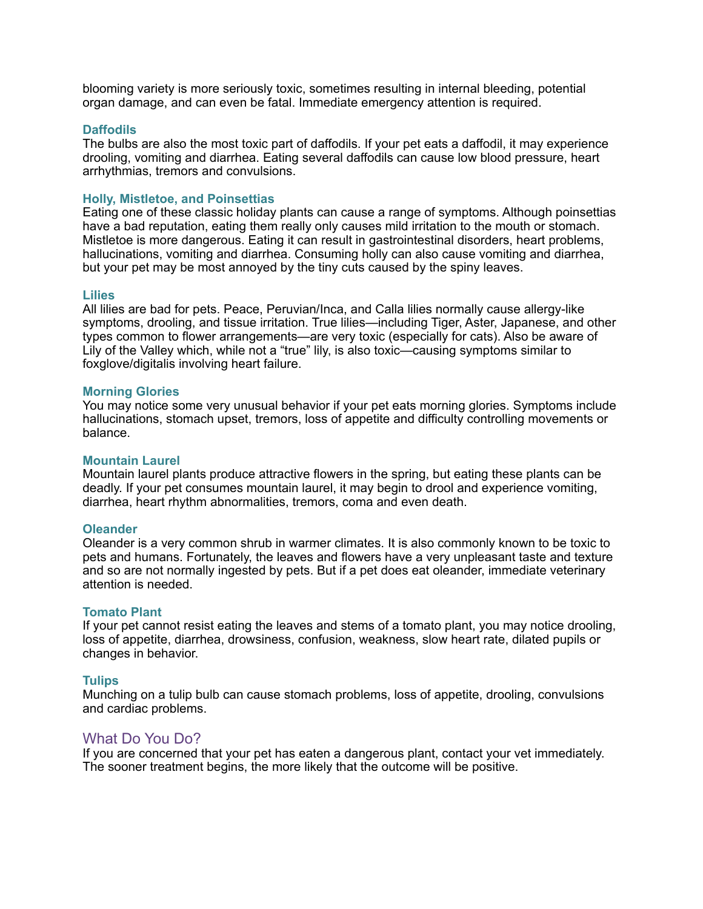blooming variety is more seriously toxic, sometimes resulting in internal bleeding, potential organ damage, and can even be fatal. Immediate emergency attention is required.

#### **Daffodils**

The bulbs are also the most toxic part of daffodils. If your pet eats a daffodil, it may experience drooling, vomiting and diarrhea. Eating several daffodils can cause low blood pressure, heart arrhythmias, tremors and convulsions.

#### **Holly, Mistletoe, and Poinsettias**

Eating one of these classic holiday plants can cause a range of symptoms. Although poinsettias have a bad reputation, eating them really only causes mild irritation to the mouth or stomach. Mistletoe is more dangerous. Eating it can result in gastrointestinal disorders, heart problems, hallucinations, vomiting and diarrhea. Consuming holly can also cause vomiting and diarrhea, but your pet may be most annoyed by the tiny cuts caused by the spiny leaves.

#### **Lilies**

All lilies are bad for pets. Peace, Peruvian/Inca, and Calla lilies normally cause allergy-like symptoms, drooling, and tissue irritation. True lilies—including Tiger, Aster, Japanese, and other types common to flower arrangements—are very toxic (especially for cats). Also be aware of Lily of the Valley which, while not a "true" lily, is also toxic—causing symptoms similar to foxglove/digitalis involving heart failure.

#### **Morning Glories**

You may notice some very unusual behavior if your pet eats morning glories. Symptoms include hallucinations, stomach upset, tremors, loss of appetite and difficulty controlling movements or balance.

#### **Mountain Laurel**

Mountain laurel plants produce attractive flowers in the spring, but eating these plants can be deadly. If your pet consumes mountain laurel, it may begin to drool and experience vomiting, diarrhea, heart rhythm abnormalities, tremors, coma and even death.

#### **Oleander**

Oleander is a very common shrub in warmer climates. It is also commonly known to be toxic to pets and humans. Fortunately, the leaves and flowers have a very unpleasant taste and texture and so are not normally ingested by pets. But if a pet does eat oleander, immediate veterinary attention is needed.

#### **Tomato Plant**

If your pet cannot resist eating the leaves and stems of a tomato plant, you may notice drooling, loss of appetite, diarrhea, drowsiness, confusion, weakness, slow heart rate, dilated pupils or changes in behavior.

#### **Tulips**

Munching on a tulip bulb can cause stomach problems, loss of appetite, drooling, convulsions and cardiac problems.

#### What Do You Do?

If you are concerned that your pet has eaten a dangerous plant, contact your vet immediately. The sooner treatment begins, the more likely that the outcome will be positive.